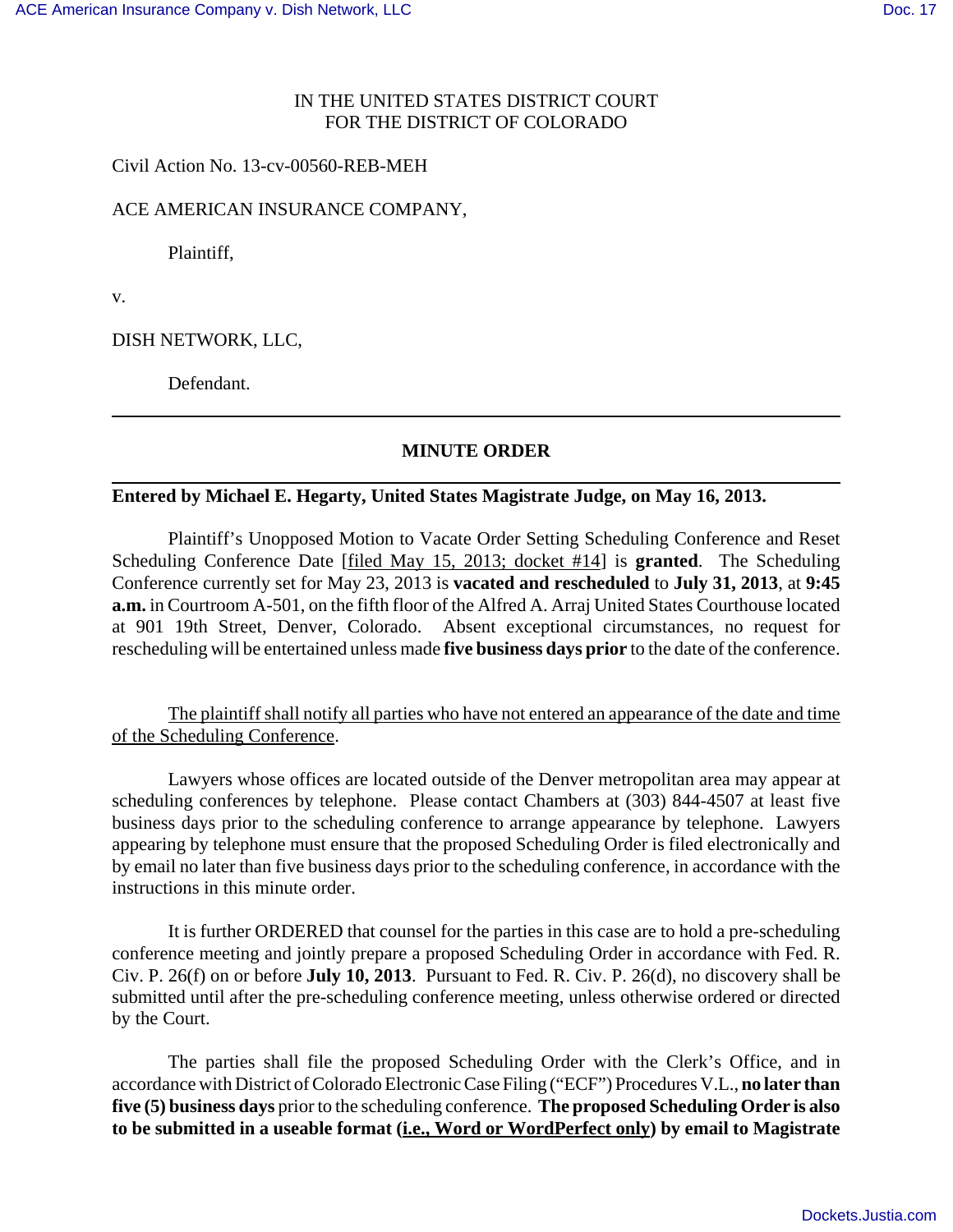## IN THE UNITED STATES DISTRICT COURT FOR THE DISTRICT OF COLORADO

Civil Action No. 13-cv-00560-REB-MEH

## ACE AMERICAN INSURANCE COMPANY,

Plaintiff,

v.

DISH NETWORK, LLC,

Defendant.

# **MINUTE ORDER**

## **Entered by Michael E. Hegarty, United States Magistrate Judge, on May 16, 2013.**

Plaintiff's Unopposed Motion to Vacate Order Setting Scheduling Conference and Reset Scheduling Conference Date [filed May 15, 2013; docket #14] is **granted**. The Scheduling Conference currently set for May 23, 2013 is **vacated and rescheduled** to **July 31, 2013**, at **9:45 a.m.** in Courtroom A-501, on the fifth floor of the Alfred A. Arraj United States Courthouse located at 901 19th Street, Denver, Colorado. Absent exceptional circumstances, no request for rescheduling will be entertained unless made **five business days prior** to the date of the conference.

The plaintiff shall notify all parties who have not entered an appearance of the date and time of the Scheduling Conference.

Lawyers whose offices are located outside of the Denver metropolitan area may appear at scheduling conferences by telephone. Please contact Chambers at (303) 844-4507 at least five business days prior to the scheduling conference to arrange appearance by telephone. Lawyers appearing by telephone must ensure that the proposed Scheduling Order is filed electronically and by email no later than five business days prior to the scheduling conference, in accordance with the instructions in this minute order.

It is further ORDERED that counsel for the parties in this case are to hold a pre-scheduling conference meeting and jointly prepare a proposed Scheduling Order in accordance with Fed. R. Civ. P. 26(f) on or before **July 10, 2013**. Pursuant to Fed. R. Civ. P. 26(d), no discovery shall be submitted until after the pre-scheduling conference meeting, unless otherwise ordered or directed by the Court.

The parties shall file the proposed Scheduling Order with the Clerk's Office, and in accordance with District of Colorado Electronic Case Filing ("ECF") Procedures V.L., **no later than five (5) business days** prior to the scheduling conference. **The proposed Scheduling Order is also to be submitted in a useable format (i.e., Word or WordPerfect only) by email to Magistrate**